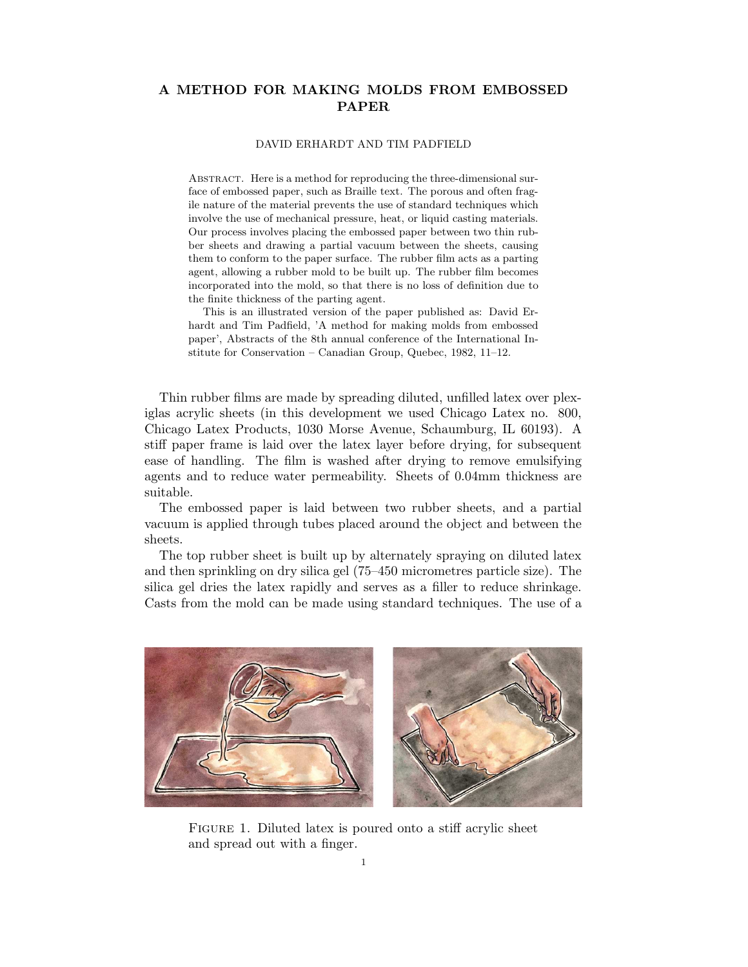## A METHOD FOR MAKING MOLDS FROM EMBOSSED PAPER

## DAVID ERHARDT AND TIM PADFIELD

ABSTRACT. Here is a method for reproducing the three-dimensional surface of embossed paper, such as Braille text. The porous and often fragile nature of the material prevents the use of standard techniques which involve the use of mechanical pressure, heat, or liquid casting materials. Our process involves placing the embossed paper between two thin rubber sheets and drawing a partial vacuum between the sheets, causing them to conform to the paper surface. The rubber film acts as a parting agent, allowing a rubber mold to be built up. The rubber film becomes incorporated into the mold, so that there is no loss of definition due to the finite thickness of the parting agent.

This is an illustrated version of the paper published as: David Erhardt and Tim Padfield, 'A method for making molds from embossed paper', Abstracts of the 8th annual conference of the International Institute for Conservation – Canadian Group, Quebec, 1982, 11–12.

Thin rubber films are made by spreading diluted, unfilled latex over plexiglas acrylic sheets (in this development we used Chicago Latex no. 800, Chicago Latex Products, 1030 Morse Avenue, Schaumburg, IL 60193). A stiff paper frame is laid over the latex layer before drying, for subsequent ease of handling. The film is washed after drying to remove emulsifying agents and to reduce water permeability. Sheets of 0.04mm thickness are suitable.

The embossed paper is laid between two rubber sheets, and a partial vacuum is applied through tubes placed around the object and between the sheets.

The top rubber sheet is built up by alternately spraying on diluted latex and then sprinkling on dry silica gel (75–450 micrometres particle size). The silica gel dries the latex rapidly and serves as a filler to reduce shrinkage. Casts from the mold can be made using standard techniques. The use of a



FIGURE 1. Diluted latex is poured onto a stiff acrylic sheet and spread out with a finger.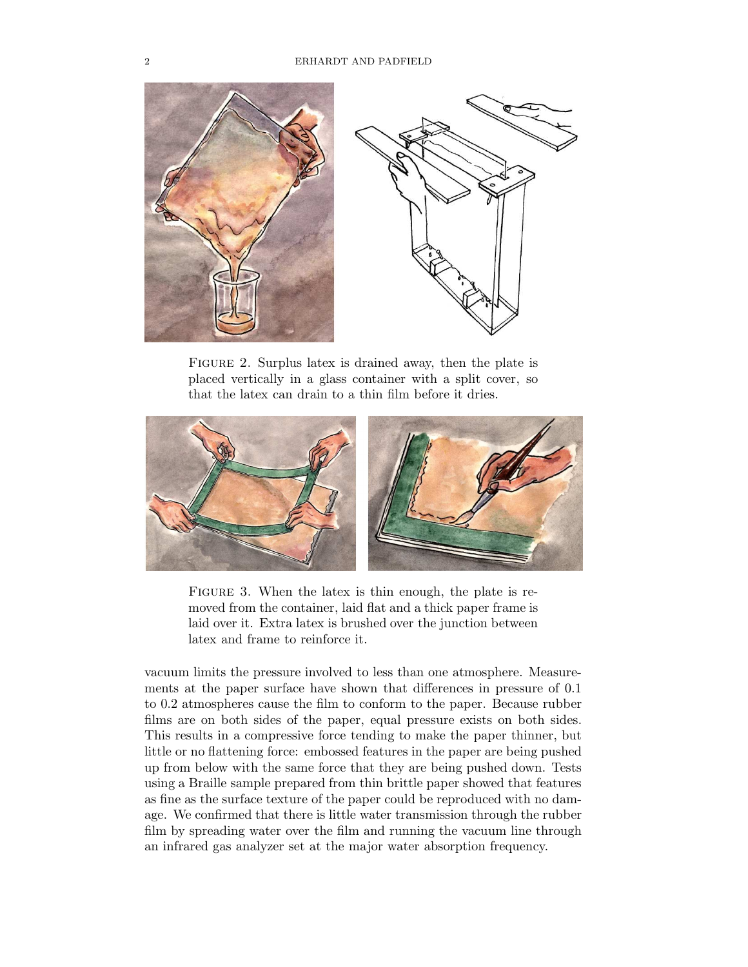

FIGURE 2. Surplus latex is drained away, then the plate is placed vertically in a glass container with a split cover, so that the latex can drain to a thin film before it dries.



FIGURE 3. When the latex is thin enough, the plate is removed from the container, laid flat and a thick paper frame is laid over it. Extra latex is brushed over the junction between latex and frame to reinforce it.

vacuum limits the pressure involved to less than one atmosphere. Measurements at the paper surface have shown that differences in pressure of 0.1 to 0.2 atmospheres cause the film to conform to the paper. Because rubber films are on both sides of the paper, equal pressure exists on both sides. This results in a compressive force tending to make the paper thinner, but little or no flattening force: embossed features in the paper are being pushed up from below with the same force that they are being pushed down. Tests using a Braille sample prepared from thin brittle paper showed that features as fine as the surface texture of the paper could be reproduced with no damage. We confirmed that there is little water transmission through the rubber film by spreading water over the film and running the vacuum line through an infrared gas analyzer set at the major water absorption frequency.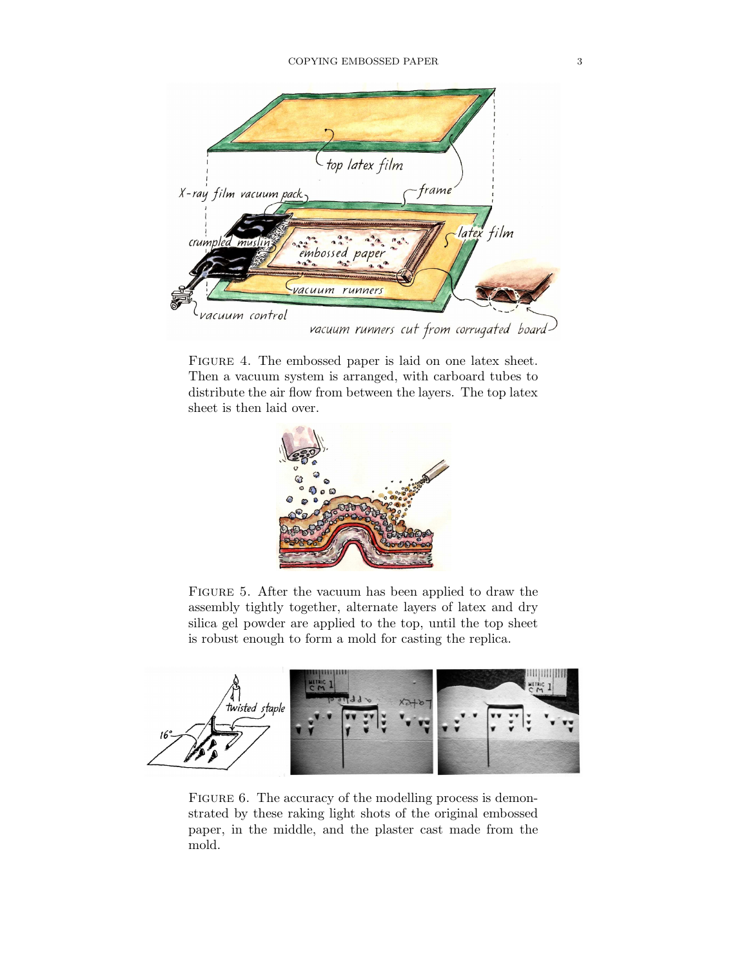| - top latex film                                             |
|--------------------------------------------------------------|
| frame<br>$X$ -ray film vacuum pack,                          |
| latex film<br>crumpled muslin<br>$2a^2$                      |
| embossed paper                                               |
| vacuum runners                                               |
| -vacuum control<br>vacuum runners cut from corrugated board- |

Figure 4. The embossed paper is laid on one latex sheet. Then a vacuum system is arranged, with carboard tubes to distribute the air flow from between the layers. The top latex sheet is then laid over.



FIGURE 5. After the vacuum has been applied to draw the assembly tightly together, alternate layers of latex and dry silica gel powder are applied to the top, until the top sheet is robust enough to form a mold for casting the replica.



FIGURE 6. The accuracy of the modelling process is demonstrated by these raking light shots of the original embossed paper, in the middle, and the plaster cast made from the mold.